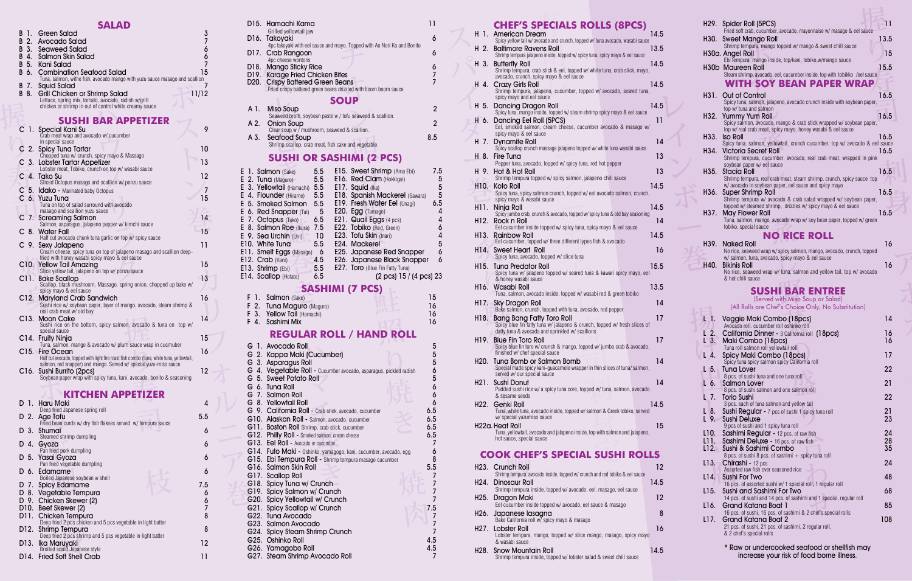Raw or undercooked seafood or shellfish may increase your risk of food borne illness.

ボ

| <b>F I. SQIMON</b> (Sake) |                                                                              |
|---------------------------|------------------------------------------------------------------------------|
|                           | 16                                                                           |
|                           | 16                                                                           |
|                           | 16                                                                           |
|                           | F 2. Tuna Maguro (Maguro)<br>F 3. Yellow Tail (Hamachi)<br>F. 4. Sashimi Mix |

パ

イ

ボ

カ

| H 6.     | Dancing Eel Roll (5PCS)<br>Eel, smoked salmon, cream cheese, cucumber avocado & masago w/                                                                        | 11 |
|----------|------------------------------------------------------------------------------------------------------------------------------------------------------------------|----|
|          | spicy mayo & eel sauce<br>H 7. Dynamite Roll                                                                                                                     | 14 |
|          | Spicy scallop crunch massage jalapeno topped w/ white tuna wasabi sauce                                                                                          |    |
| H.<br>8. | Fire Tuna<br>Pepper tuna, avocado, topped w/spicy tuna, red hot pepper                                                                                           | 13 |
| H 9.     | Hot & Hot Roll<br>Shrimp tempura topped w/ spicy salmon, jalapeno chili sauce                                                                                    | 13 |
|          | 14.5<br>H10. Koto Roll                                                                                                                                           |    |
|          | Spicy tuna, spicy salmon crunch, topped w/eel avocado salmon, crunch,<br>spicy mayo & wasabi sauce                                                               |    |
| H11. I   | 14.5<br>Ninja Roll                                                                                                                                               |    |
| H12.     | Spicy jumbo crab, crunch & avocado, topped w/spicy tuna & old bay seasoning<br>Rock n Roll                                                                       | 14 |
| H13.     | Eel cucumber inside topped w/ spicy tuna, spicy mayo & eel sauce<br><b>Rainbow Roll</b><br>14.5                                                                  |    |
|          | Eel cucumber, topped w/ three different types fish & avocado                                                                                                     |    |
| H14.     | Sweet Heart Roll<br>Spicy tuna, avocado, topped w/ slice tuna                                                                                                    | 16 |
|          | 15.5<br>H <sub>15</sub> . Tuna Predator Roll<br>Spicy tuna w/ jalapeno topped w/ seared tuna & kawari spicy mayo, eel<br>& honey wasabi sauce                    |    |
|          | H16. Wasabi Roll<br>13.5<br>Tuna, salmon, avocado inside, topped w/ wasabi red & green tobiko                                                                    |    |
|          | H17. Sky Dragon Roll<br>Bake salmon, crunch, topped with tuna, avocado, red pepper                                                                               | 14 |
| H18.     | <b>Bang Bang Fatty Toro Roll</b><br>Spicy blue fin fatty tuna w/ jalapeno & crunch, topped w/ fresh slices of<br>datty tuna & avocada and sprinkled w/ scallions | 17 |
| H19      | <b>Blue Fin Toro Roll</b><br>Spicy blue fin toro w/ crunch & mango, topped w/ jumbo crab & avocado,<br>finished w/ chef special sauce                            | 17 |
| H20.     | Tung Bomb or Salmon Bomb<br>Special made spicy kani-quacamole wrapper in thin slices of tuna/salmon,<br>served w/ our special sauce                              | 14 |
| H21.     | Sushi Donut<br>Padded sushi rice w/ a spicy tuna core, topped w/ tuna, salmon, avocado<br>& sesame seeds                                                         | 14 |
| ப்வ      | Copki Doll<br>1 A E                                                                                                                                              |    |

Funa, white tuna, avocado inside, topped w/salmon & Greek tobiko, served<br>
w/special yuzumiso sauce<br>
H22a. Heat Roll<br>
Tuna, yellowtail, avocado and jalapeno inside, top with salmon and jalapeno,<br>
hot sauce, special sauce sesame se H22. Genki Roll 14.5 Tuna, white tuna, avocado inside, topped w/ salmon & Greek tobiko, served w/ special yuzumiso sauce

## **SUSH**

| <b>COOK CHEF'S SPECIAL SUSHI ROLLS</b>                                                                   |      |
|----------------------------------------------------------------------------------------------------------|------|
| H23. Crunch Roll<br>Shrimp tempura, avocado inside, topped w/ crunch and red tobiko & eel sauce          | 12   |
| <b>H24. Dinosaur Roll</b><br>Shrimp tempura inside, topped w/avocado, eel, masago, eel sauce             | 14.5 |
| H25. Dragon Maki<br>Eel cucumber inside topped w/ avocado, eel sauce & masago                            | 12   |
| H26. Japanese lasagna<br>Bake California roll w/ spicy mayo & masago                                     | 8    |
| H27. Lobster Roll<br>Lobster tempura, mango, topped w/ slice mango, masago, spicy mayo<br>& wasabi sauce | 16   |
| <b>H28. Snow Mountain Roll</b><br>Shrimp tempura inside, topped w/lobster salad & sweet chill sauce      | 14.5 |

|         | H <sub>29</sub> . Spider Roll (5PCS)<br>Fried soft crab, cucumber, avocado, mayonnaise w/ masago & eel sauce | 11       |  |
|---------|--------------------------------------------------------------------------------------------------------------|----------|--|
| H30. I  | <b>Sweet Mango Roll</b><br>Shrimp tempura, mango topped w/ mango & sweet chill sauce                         | 13.5     |  |
|         | H30a. Angel Roll<br>Ebi tempura, mango inside, top/kani, tobiko,w/mango sauce                                | 15       |  |
|         | H30b Maureen Roll<br>Steam shrimp, avocado, eel, cucumber inside, top with tobikko /eel sauce                | 15.5     |  |
|         | WITH SOY BEAN PAPER WRAP                                                                                     |          |  |
| H31. I  | Out of Control                                                                                               | 16.5     |  |
|         | Spicy tuna, salmon, jalapeno, avocado crunch inside with soybean paper,<br>top w/ tuna and salmon            |          |  |
|         | H32. Yummy Yum Roll<br>Spicy salmon, avocado, mango & crab stick wrapped w/ soybean paper,                   | 16.5     |  |
|         | top w/ real crab meat, spicy mayo, honey wasabi & eel sauce<br>H <sub>33</sub> . Iso Roll                    | 16.5     |  |
| H34. I  | Spicy tuna, salmon, yellowtail, crunch cucumber, top w/ avocado & eel sauce<br><b>Victoria Secret Roll</b>   | 16.5     |  |
|         | Shrimp tempura, cucumber, avocado, real crab meat, wrapped in pink<br>soybean paper w/eel sauce              |          |  |
| H35.    | Stacia Roll<br>Shrimp tempura, real crab meat, steam shrimp, crunch, spicy sauce top                         | 16.5     |  |
|         | w/avocado in soybean paper, eel sauce and spicy mayo                                                         |          |  |
| H36.    | <b>Super Shrimp Roll</b><br>Shrimp tempura w/ avocado & crab salad wrapped w/ soybean paper,                 | 16.5     |  |
| H37.    | topped w/ steamed shrimp, drizzles w/ spicy mayo & eel sauce<br><b>May Flower Roll</b>                       | 16.5     |  |
|         | Tuna, salmon, mango, avocado wrap w/soy bean paper, topped w/green<br>tobiko, special sauce                  |          |  |
|         | <b>NO RICE ROLL</b>                                                                                          |          |  |
| H39.    | Naked Roll<br>No rice, seaweed wrap w/spicy salmon, mango, avocado, crunch, topped                           | 16       |  |
| H40.    | w/ salmon, tuna, avocado, spicy mayo & eel sauce<br><b>Bikinis Roll</b>                                      | 16       |  |
|         | No rice, seaweed wrap w/ tuna, salmon and yellow tail, top w/ avocado<br>& hot chili sauce                   |          |  |
|         | <b>SUSHI BAR ENTREE</b>                                                                                      |          |  |
|         | (Served with Miso Soup or Salad)<br>(All Rolls are Chef's Choice Only, No Substitution)                      |          |  |
| $\Box$  | Veggie Maki Combo (18pcs)                                                                                    | 14       |  |
| 2.      | Avocado roll. cucumber roll oshinko roll<br>California Dinner - 3 California roll (18pcs)                    | 16       |  |
| $L^3$ . | Maki Combo (18pcs)<br>Tuna roll salmon roll yellowtail roll                                                  | 16       |  |
| L 4.    | Spicy Maki Combo (18pcs)                                                                                     | 17       |  |
| L 5. T  | Spicy tuna spicy salmon spicy California roll<br>Tuna Lover                                                  | 22       |  |
| L 6.    | 8 pcs. of sushi tuna and one tuna roll<br><b>Salmon Lover</b>                                                | 21       |  |
| L 7.    | 8 pcs. of sushi salmon and one salmon roll<br><b>Torio Sushi</b>                                             | 22       |  |
| L 8.    | 3 pcs. each of tuna salmon and yellow tail<br>Sushi Regular - 7 pcs of sushi 1 spicy tuna roll               | 21       |  |
|         | L 9. Sushi Deluxe<br>9 pcs of sushi and 1 spicy tuna roll                                                    | 23       |  |
| L10.    | Sashimi Regular - 12 pcs. of raw fish                                                                        | 24       |  |
| L11     | <b>Sashimi Deluxe - 16 pcs. of raw fish</b><br>L12. Sushi & Sashimi Combo                                    | 28<br>35 |  |
| $L13-$  | 8 pcs. of sushi 8 pcs. of sashimi + spicy tuna roll<br>Chirashi - 12 pcs                                     | 24       |  |
| L14.    | Assorted raw fish over seasoned rice<br>Sushi For Two                                                        | 48       |  |
| L15.    | 16 pcs. of assorted sushi w/ 1 special roll, 1 regular roll<br>Sushi and Sashimi For Two                     | 68       |  |
|         | 14 pcs. of sushi and 14 pcs. of sashimi and 1 special, regular roll                                          |          |  |
| L16.    | Grand Katana Boat 1<br>16 pcs. of sushi, 16 pcs. of sashimi & 2 chef's special rolls                         | 85       |  |
|         |                                                                                                              |          |  |
| L17.    | Grand Katana Boat 2<br>21 pcs. of sushi, 21 pcs. of sashimi, 2 regular roll,<br>& 2 chef's special rolls     | 108      |  |

D 8. Vegetable Tempura 6 D 9. Chicken Skewer (2) 6 D10. Beef Skewer (2) 7 **D11. Chicken Tempura** 8<br>Deep fried 2 pcs chicken and 5 pcs vegetable in light batter

|         | DALAD                                                                                                           |                     |  |
|---------|-----------------------------------------------------------------------------------------------------------------|---------------------|--|
| 1.<br>В | Green Salad                                                                                                     | 3                   |  |
| 2.<br>В | Avocado Salad                                                                                                   | 7                   |  |
| B<br>3. | Seaweed Salad                                                                                                   | 6                   |  |
| B 4.    | <b>Salmon Skin Salad</b>                                                                                        | 6<br>$\overline{7}$ |  |
| B 5.    | Kani Salad                                                                                                      |                     |  |
| B<br>6. | <b>Combination Seafood Salad</b><br>Tuna, salmon, withe fish, avocado mango with yuzu sauce masago and scallion | 15                  |  |
| В<br>7. | Squid Salad                                                                                                     | 7                   |  |
| B<br>8. | Grill Chicken or Shrimp Salad                                                                                   | 11/12               |  |
|         | Lettuce, spring mix, tomato, avocado, radish w/grill                                                            |                     |  |
|         | chicken or shrimp in out of control white creamy sauce                                                          |                     |  |
|         |                                                                                                                 |                     |  |
|         | SUSHI BAR AI                                                                                                    |                     |  |
| С       | 1. Special Kani Su<br>Crab meat wrap and avocado w/ cucumber                                                    | 9                   |  |
|         | in special sauce                                                                                                |                     |  |
| 2.      |                                                                                                                 | 10                  |  |
|         | Spicy Tuna Tartar<br>Chopped tuna w/ crunch, spicy mayo & Massago                                               |                     |  |
| 3.      | Lobster Tartar Appetizer                                                                                        | 13                  |  |
|         | Lobster meat, Tobiko, crunch on top w/ wasabi sauce                                                             | $12 \overline{ }$   |  |
|         | C 4. Tako Su<br>Sliced Octopus masago and scallion w/ ponzu sauce                                               |                     |  |
|         | C 5. Idako - Marinated baby Octopus                                                                             | 7                   |  |
|         | C 6. Yuzu Tuna                                                                                                  | 15                  |  |
|         | Tuna on top of salad surround with avocado                                                                      |                     |  |
|         | masago and scallion yuzu sauce                                                                                  |                     |  |
| 7.      | <b>Screaming Salmon</b>                                                                                         | 14                  |  |
| С       | Salmon, asparagus, jalapeno pepper w/ kimchi sauce<br>8. Water Fall                                             | 15                  |  |
|         | Half cut avocado chunk tuna garlic on top w/spicy sauce                                                         |                     |  |
| С<br>9. | Sexy Jalapeno                                                                                                   | 11                  |  |
|         | Cream cheese, spicy tuna on top of jalapeno masago and scallion deep-                                           |                     |  |
|         | fried with honey wasabi spicy mayo & eel sauce                                                                  | 15                  |  |
|         | C10. Yellow Tail Amazing<br>Slice yellow tail, jalapeno on top w/ ponzu sauce                                   |                     |  |
| C11.    | <b>Bake Scallop</b>                                                                                             | 13                  |  |
|         | Scallop, black mushroom, Massago, spring onion, chopped up bake w/                                              |                     |  |
|         | spicy mayo & eel sauce                                                                                          |                     |  |
| C12.    | Maryland Crab Sandwich                                                                                          | 16                  |  |
|         | Sushi rice w/ soybean paper, layer of mango, avocado, steam shrimp &<br>real crab meat w/ old bay               |                     |  |
| C13.    | Moon Cake                                                                                                       | 14                  |  |
|         | Sushi rice on the bottom, spicy salmon, avocado & tuna on top w/                                                |                     |  |
|         | special sauce                                                                                                   |                     |  |
| C14.    | <b>Fruity Ninja</b><br>Tuna, salmon, mango & avocado w/ plum sauce wrap in cucmuber                             | 15                  |  |
| C15.    | <b>Fire Ocean</b>                                                                                               | 16                  |  |
|         | Half cut avocado, topped with light fire roast fish combo (tuna, white tuna, yellowtail,                        |                     |  |
|         | salmon, red snapper) and mango. Served w/special yuzu-miso sauce.                                               |                     |  |
| C16.    | Sushi Burrito (2pcs)<br>Soybean paper wrap with spicy tuna, kani, avocado, bonito & seasoning                   | 12                  |  |
|         |                                                                                                                 |                     |  |
|         |                                                                                                                 |                     |  |
|         | <b>KITCHEN APPETIZER</b>                                                                                        |                     |  |
| D 1.    | Haru Maki<br>Deep fried Japanese spring roll                                                                    | 4                   |  |
| 2.<br>D | Age Tofu                                                                                                        | 5.5                 |  |
|         | Fried bean curds w/ dry fish flakees served w/ tempura sauce                                                    |                     |  |
| 3.<br>D | Shumai                                                                                                          | 6                   |  |
|         | Steamed shrimp dumpling                                                                                         |                     |  |
| D 4.    | Gyoza<br>Pan fried pork dumpling                                                                                | 6                   |  |
| D<br>5. | Yasai Gyoza                                                                                                     | 6                   |  |
|         | Pan fried vegetable dumpling                                                                                    |                     |  |
| D 6.    | Edamame                                                                                                         | 6                   |  |
|         | Boiled Japanese soybean w shell                                                                                 |                     |  |
| D 7.    | <b>Spicy Edamame</b>                                                                                            | 7.5                 |  |
|         | D 8. Vegetable Tempurg                                                                                          | 6                   |  |

en Skew<br>ikewer (<br>en Tem<sub>l</sub><br>ed 2 pcs cl

|  | G 1. Avocado Roll                                                 | 5             |
|--|-------------------------------------------------------------------|---------------|
|  | G 2. Kappa Maki (Cucumber)                                        |               |
|  | G 3. Asparagus Roll                                               | $\frac{5}{5}$ |
|  | G 4. Vegetable Roll - Cucumber avocado, asparagus, pickled radish |               |
|  | G 5. Sweet Potato Roll                                            | $\frac{6}{5}$ |
|  | G 6. Tuna Roll                                                    | 6             |
|  | G 7. Salmon Roll                                                  | 6             |
|  | G 8. Yellowtail Roll                                              | 6             |
|  | G 9. California Roll - Crab stick, avocado, cucumber              | 6.5           |
|  | G10. Alaskan Roll - Salmon, avocado, cucumber                     | 6.5           |
|  | G11. Boston Roll Shrimp, crab stick, cucumber                     | 6.5           |
|  | G12. Philly Roll - Smoked salmon, cream cheese                    | 6.5           |
|  | G13. Eel Roll - Avocado or cucumber                               | 7             |
|  | G14. Futo Maki - Oshinko, yamagogo, kani, cucumber, avocado, egg  | 6             |
|  | G15. Ebi Tempura Roll - Shrimp tempura masago cucumber            | 8             |
|  | G16. Salmon Skin Roll                                             | 5.5           |
|  | G17. Scallop Roll                                                 | 7             |
|  | G18. Spicy Tuna w/ Crunch                                         |               |
|  | G19. Spicy Salmon w/ Crunch                                       |               |
|  | G20. Spicy Yellowtail w/ Crunch                                   |               |
|  | G21. Spicy Scallop w/ Crunch                                      | 7.5           |
|  | G22. Tuna Avocado                                                 | 7             |
|  | G23. Salmon Avocado                                               | 7             |
|  | G24. Spicy Steam Shrimp Crunch                                    | 7             |
|  | G25. Oshinko Roll                                                 | 4.5           |
|  | G26. Yamagobo Roll                                                | 4.5           |

| D15.<br>Hamachi Kama                                                                                                         | 11                  |
|------------------------------------------------------------------------------------------------------------------------------|---------------------|
| Grilled yellowtail jaw<br>D16. I<br>Takoyaki                                                                                 | 6                   |
| 4pc takoyaki with eel sauce and mayo. Topped with Ao Nori Ko and Bonito<br>D17.<br>Crab Rangoon                              | 6                   |
| 4pc cheese wontons<br>D18.<br>Mango Sticky Rice                                                                              | 6                   |
| D19. Karage Fried Chicken Bites<br>D20. T<br><b>Crispy Battered Green Beans</b>                                              | 7                   |
| Fried crispy battered green beans drizzled with boom boom sauce                                                              |                     |
| <b>SOUP</b><br>A 1.<br>Miso Soup                                                                                             | $\overline{2}$      |
| Seaweed broth, soybean paste w / tofu seaweed & scallion.<br>A 2.<br>Onion Soup                                              | $\overline{2}$      |
| Clear soup w / mushroom, seaweed & scallion.<br>A 3.<br>Seafood Soup                                                         | 8.5                 |
| Shrimp, scallop, crab meat, fish cake and vegetable.                                                                         |                     |
| <b>SUSHI OR SASHIMI (2 PCS)</b>                                                                                              |                     |
| 5.5<br><b>E15. Sweet Shrimp (Ama Ebi)</b><br>E 1. Salmon (Sake)<br>5.5                                                       | 7.5                 |
| E 2. Tuna (Maguro)<br>E16. Red Clam (Hokkigai)<br>E17. Squid (Ika)<br>3. Yellowtail (Hamachi) 5.5<br>E                       | 5<br>5              |
| E 4. Flounder (Hirame)<br>5.5<br>E18. Spanish Mackerel (Sawara)<br>5.5<br>E 5. Smoked Salmon<br>E19. Fresh Water Eel (Unagi) | 5<br>6.5            |
| E 6. Red Snapper (Tai)<br>5<br>E20. Egg (Tamago)                                                                             | 4                   |
| 6.5<br>E 7. Octopus (Tako)<br>E21. Quail Eggs (4 pcs)<br>7.5<br>E 8. Salmon Roe (Ikura)<br>E22. Tobiko (Red, Green)          | 4<br>6              |
| E 9. Sea Urchin (Uni)<br>10<br><b>E23. Tofu Skin (Inari)</b><br>5.5<br>E10. White Tuna<br>E24. Mackerel                      | $\overline{4}$<br>5 |
| Ell. Smelt Eggs (Masago) 6<br><b>E25.</b> Japanese Red Snapper                                                               | 6                   |
| E12. Crab (Kani)<br>4.5<br>E26. Japanese Black Snapper<br>E13. Shrimp (Ebi)<br>5.5<br><b>E27. Toro</b> (Blue Fin Fatty Tuna) | 6                   |
| E14. Scallop (Hotate)<br>6.5<br>$(2 \text{ pcs})$ 15 / $(4 \text{ pcs})$ 23                                                  |                     |
| <b>SASHIMI (7 PCS)</b><br>F<br>-1.<br><b>Salmon</b> (Sake)                                                                   | 15                  |
| F 2. Tuna Maguro (Maguro)                                                                                                    | 16                  |
| F.<br>3. Yellow Tail (Hamachi)<br>F.<br>4.<br>Sashimi Mix                                                                    | 16<br>16            |
| <b>REGULAR ROLL / HAND ROLL</b>                                                                                              |                     |
| 1. Avocado Roll<br>G                                                                                                         | 5                   |
| G 2. Kappa Maki (Cucumber)<br>G.<br>3. Asparagus Roll                                                                        | 5                   |
| Vegetable Roll - Cucumber avocado, asparagus, pickled radish<br>G<br>4.<br>G<br><b>Sweet Potato Roll</b><br>5.               |                     |
| G<br>6.<br><b>Tuna Roll</b>                                                                                                  |                     |
| G<br>7. Salmon Roll<br>G<br>8. Yellowtail Roll                                                                               | 565666              |
| G 9. California Roll - Crab stick, avocado, cucumber<br>G10. Alaskan Roll - Salmon, avocado, cucumber                        | 6.5<br>6.5          |
|                                                                                                                              |                     |

# d salmon, crea<br>or cucumber<br>nko, yamagog

- 
- 
- G27. Steam Shrimp Avocado Roll 7

|  | <b>CHEF'S SPECIALS ROLLS (8PCS)</b>                                                                                                                 |  |
|--|-----------------------------------------------------------------------------------------------------------------------------------------------------|--|
|  | H 1. American Dream<br>14.5<br>Spicy yellow tail w/ avocado and crunch, topped w/ tuna avocado, wasabi sauce                                        |  |
|  | 13.5<br>H 2. Baltimore Ravens Roll<br>Shrimp tempura jalapeno inside, topped w/spicy tuna, spicy mayo & eel sauce                                   |  |
|  | H 3. Butterfly Roll<br>14.5<br>Shrimp tempura, crab stick & eel, topped w/ white tuna, crab stick, mayo,<br>avocado, crunch, spicy mayo & eel sauce |  |
|  | 14.5<br>H 4. Crazy Girls Roll<br>Shrimp tempura, jalapeno, cucumber, topped w/ avocado, seared tuna,<br>spicy mayo and eel sauce                    |  |
|  | 14.5<br>H 5. Dancing Dragon Roll<br>Spicy tuna, mango inside, topped w/ steam shrimp spicy mayo & eel sauce                                         |  |
|  | H 6. Dancing Eel Roll (5PCS)<br>Eel, smoked salmon, cream cheese, cucumber avocado & masago w/                                                      |  |

Broiled squid Japanese style

D12. Shrimp Tempura 8<br>
Deep fried 2 pcs shrimp and 5 pcs vegetable in light batter<br>
D13. Ika Maruyaki 8<br>
Broiled squid Japanese style<br>
D14. Broiled squid Japanese style

D13. Ika Maruyaki **12** 

D14. Fried Soft Shell Crab 11

#### **SALAD**